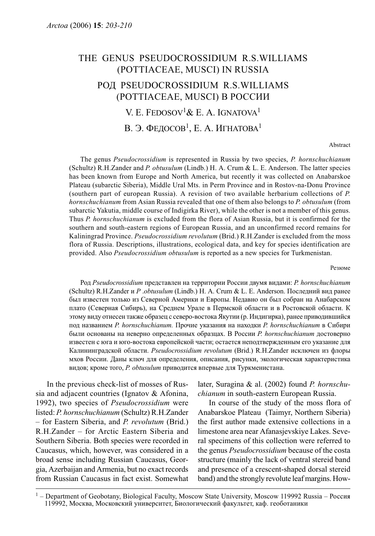## THE GENUS PSEUDOCROSSIDIUM R.S.WILLIAMS (POTTIACEAE, MUSCI) IN RUSSIA РОД PSEUDOCROSSIDIUM R.S.WILLIAMS (POTTIACEAE, MUSCI) В РОССИИ V. E. FEDOSOV<sup>1</sup> & E. A. IGNATOVA<sup>1</sup>

В. Э. ФЕДОСОВ<sup>1</sup>, Е. А. ИГНАТОВА<sup>1</sup>

Abstract

The genus Pseudocrossidium is represented in Russia by two species, P. hornschuchianum (Schultz) R.H.Zander and P. obtusulum (Lindb.) H. A. Crum & L. E. Anderson. The latter species has been known from Europe and North America, but recently it was collected on Anabarskoe Plateau (subarctic Siberia), Middle Ural Mts. in Perm Province and in Rostov-na-Donu Province (southern part of european Russia). A revision of two available herbarium collections of P. hornschuchianum from Asian Russia revealed that one of them also belongs to P. obtusulum (from subarctic Yakutia, middle course of Indigirka River), while the other is not a member of this genus. Thus P. hornschuchianum is excluded from the flora of Asian Russia, but it is confirmed for the southern and south-eastern regions of European Russia, and an unconfirmed record remains for Kaliningrad Province. Pseudocrossidium revolutum (Brid.) R.H.Zander is excluded from the moss flora of Russia. Descriptions, illustrations, ecological data, and key for species identification are provided. Also Pseudocrossidium obtusulum is reported as a new species for Turkmenistan.

Резюме

Род Pseudocrossidium представлен на территории России двумя видами: P. hornschuchianum (Schultz) R.H.Zander и P .obtusulum (Lindb.) H. A. Crum & L. E. Anderson. Последний вид ранее был известен только из Северной Америки и Европы. Недавно он был собран на Анабарском плато (Северная Сибирь), на Среднем Урале в Пермской области и в Ростовской области. К этому виду отнесен также образец с северо-востока Якутии (р. Индигирка), ранее приводившийся под названием P. hornschuchianum. Прочие указания на находки P. hornschuchianum в Сибири были основаны на неверно определенных образцах. В России P. hornschuchianum достоверно известен с юга и юго-востока европейской части; остается неподтвержденным его указание для Калининградской области. Pseudocrossidium revolutum (Brid.) R.H.Zander исключен из флоры мхов России. Даны ключ для определения, описания, рисунки, экологическая характеристика видов; кроме того, P. obtusulum приводится впервые для Туркменистана.

In the previous check-list of mosses of Russia and adjacent countries (Ignatov & Afonina, 1992), two species of Pseudocrossidium were listed: P. hornschuchianum (Schultz) R.H.Zander – for Eastern Siberia, and P. revolutum (Brid.) R.H.Zander – for Arctic Eastern Siberia and Southern Siberia. Both species were recorded in Caucasus, which, however, was considered in a broad sense including Russian Caucasus, Georgia, Azerbaijan and Armenia, but no exact records from Russian Caucasus in fact exist. Somewhat later, Suragina & al. (2002) found P. hornschuchianum in south-eastern European Russia.

In course of the study of the moss flora of Anabarskoe Plateau (Taimyr, Northern Siberia) the first author made extensive collections in a limestone area near Afanasjevskiye Lakes. Several specimens of this collection were referred to the genus Pseudocrossidium because of the costa structure (mainly the lack of ventral stereid band and presence of a crescent-shaped dorsal stereid band) and the strongly revolute leaf margins. How-

<sup>1</sup> – Department of Geobotany, Biological Faculty, Moscow State University, Moscow 119992 Russia – Россия 119992, Москва, Московский университет, Биологический факультет, каф. геоботаники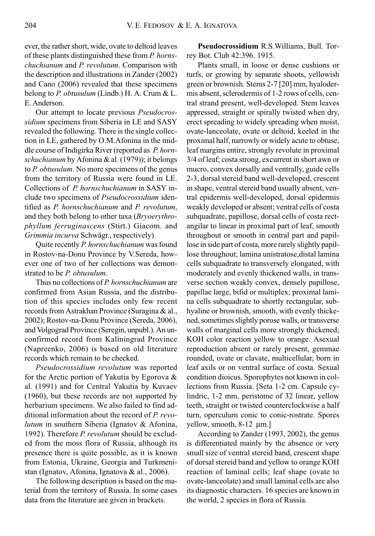ever, the rather short, wide, ovate to deltoid leaves of these plants distinguished these from P. hornschuchianum and P. revolutum. Comparison with the description and illustrations in Zander (2002) and Cano (2006) revealed that these specimens belong to P. obtusulum (Lindb.) H. A. Crum  $&L.$ E. Anderson.

Our attempt to locate previous Pseudocrossidium specimens from Siberia in LE and SASY revealed the following. There is the single collection in LE, gathered by O.M.Afonina in the middle course of Indigirka River (reported as P. hornschuchianum by Afonina & al. (1979)); it belongs to P. obtusulum. No more specimens of the genus from the territory of Russia were found in LE. Collections of P. hornschuchianum in SASY include two specimens of Pseudocrossidium identified as P. hornschuchianum and P. revolutum, and they both belong to other taxa (Bryoerythrophyllum ferruginascens (Stirt.) Giacom. and Grimmia incurva Schwägr., respectively).

Quite recently P. hornschuchianum was found in Rostov-na-Donu Province by V.Sereda, however one of two of her collections was demonstrated to be P. obtusulum.

Thus no collections of P. hornschuchianum are confirmed from Asian Russia, and the distribution of this species includes only few recent records from Astrakhan Province (Suragina & al., 2002); Rostov-na-Donu Province (Sereda, 2006), and Volgograd Province (Seregin, unpubl.). An unconfirmed record from Kaliningrad Province (Napreenko, 2006) is based on old literature records which remain to be checked.

Pseudocrossidium revolutum was reported for the Arctic portion of Yakutia by Egorova & al. (1991) and for Central Yakutia by Kuvaev (1960), but these records are not supported by herbarium specimens. We also failed to find additional information about the record of P. revolutum in southern Siberia (Ignatov & Afonina, 1992). Therefore P. revolutum should be excluded from the moss flora of Russia, although its presence there is quite possible, as it is known from Estonia, Ukraine, Georgia and Turkmenistan (Ignatov, Afonina, Ignatova & al., 2006).

The following description is based on the material from the territory of Russia. In some cases data from the literature are given in brackets.

Pseudocrossidium R.S.Williams, Bull. Torrey Bot. Club 42:396. 1915.

Plants small, in loose or dense cushions or turfs, or growing by separate shoots, yellowish green or brownish. Stems 2-7 [20] mm, hyalodermis absent, sclerodermis of 1-2 rows of cells, central strand present, well-developed. Stem leaves appressed, straight or spirally twisted when dry, erect spreading to widely spreading when moist, ovate-lanceolate, ovate or deltoid, keeled in the proximal half, narrowly or widely acute to obtuse, leaf margins entire, strongly revolute in proximal 3/4 of leaf; costa strong, excurrent in short awn or mucro, convex dorsally and ventrally, guide cells 2-3, dorsal stereid band well-developed, crescent in shape, ventral stereid band usually absent, ventral epidermis well-developed, dorsal epidermis weakly developed or absent; ventral cells of costa subquadrate, papillose, dorsal cells of costa rectangilar to linear in proximal part of leaf, smooth throughout or smooth in central part and papillose in side part of costa, more rarely slightly papillose throughout; lamina unistratose,distal lamina cells subquadrate to transversely elongated, with moderately and evenly thickened walls, in transverse section weakly convex, densely papillose, papillae large, bifid or multiplex; proximal lamina cells subquadrate to shortly rectangular, subhyaline or brownish, smooth, with evenly thickened, sometimes slightly porose walls, or transverse walls of marginal cells more strongly thickened; KOH color reaction yellow to orange. Asexual reproduction absent or rarely present, gemmae rounded, ovate or clavate, multicellular, born in leaf axils or on ventral surface of costa. Sexual condition dioicus. Sporophytes not known in collections from Russia. [Seta 1-2 cm. Capsule cylindric, 1-2 mm, peristome of 32 linear, yellow teeth, straight or twisted counterclockwise a half turn, operculum conic to conic-rostrate. Spores yellow, smooth, 8-12 μm.]

According to Zander (1993, 2002), the genus is differentiated mainly by the absence or very small size of ventral stereid band, crescent shape of dorsal stereid band and yellow to orange KOH reaction of laminal cells; leaf shape (ovate to ovate-lanceolate) and small laminal cells are also its diagnostic characters. 16 species are known in the world, 2 species in flora of Russia.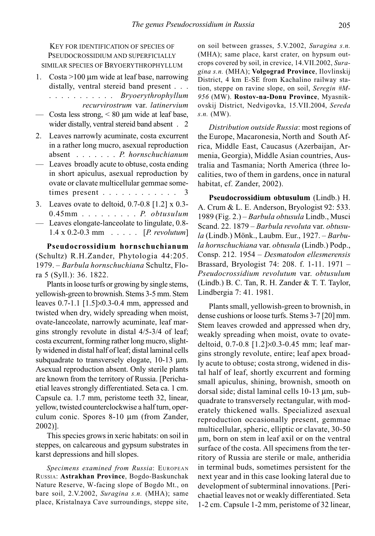KEY FOR IDENTIFICATION OF SPECIES OF PSEUDOCROSSIDIUM AND SUPERFICIALLY SIMILAR SPECIES OF BRYOERYTHROPHYLLUM

- 1. Costa >100 μm wide at leaf base, narrowing distally, ventral stereid band present . . . ........... Bryoerythrophyllum recurvirostrum var. latinervium
- $\sim$  Costa less strong,  $\leq 80$  um wide at leaf base. wider distally, ventral stereid band absent . 2
- 2. Leaves narrowly acuminate, costa excurrent in a rather long mucro, asexual reproduction absent ....... P. hornschuchianum
- Leaves broadly acute to obtuse, costa ending in short apiculus, asexual reproduction by ovate or clavate multicellular gemmae sometimes present . . . . . . . . . . . .
- 3. Leaves ovate to deltoid, 0.7-0.8 [1.2] x 0.3- 0.45mm . . . . . . . . P. obtusulum
- Leaves elongate-lanceolate to lingulate, 0.8- 1.4 x 0.2-0.3 mm ..... [P. revolutum]

Pseudocrossidium hornschuchianum (Schultz) R.H.Zander, Phytologia 44:205. 1979. – Barbula hornschuchiana Schultz, Flora 5 (Syll.): 36. 1822.

Plants in loose turfs or growing by single stems, yellowish-green to brownish. Stems 3-5 mm. Stem leaves 0.7-1.1 [1.5]×0.3-0.4 mm, appressed and twisted when dry, widely spreading when moist, ovate-lanceolate, narrowly acuminate, leaf margins strongly revolute in distal 4/5-3/4 of leaf; costa excurrent, forming rather long mucro, slightly widened in distal half of leaf; distal laminal cells subquadrate to transversely elogate, 10-13 μm. Asexual reproduction absent. Only sterile plants are known from the territory of Russia. [Perichaetial leaves strongly differentiated. Seta ca. 1 cm. Capsule ca. 1.7 mm, peristome teeth 32, linear, yellow, twisted counterclockwise a half turn, operculum conic. Spores 8-10 μm (from Zander, 2002)].

This species grows in xeric habitats: on soil in steppes, on calcareous and gypsum substrates in karst depressions and hill slopes.

Specimens examined from Russia: EUROPEAN RUSSIA: Astrakhan Province, Bogdo-Baskunchak Nature Reserve, W-facing slope of Bogdo Mt., on bare soil, 2.V.2002, Suragina s.n. (MHA); same place, Kristalnaya Cave surroundings, steppe site, on soil between grasses, 5.V.2002, Suragina s.n. (MHA); same place, karst crater, on hypsum outcrops covered by soil, in crevice, 14.VII.2002, Suragina s.n. (MHA); Volgograd Province, Ilovlinskij District, 4 km E-SE from Kachalino railway station, steppe on ravine slope, on soil, Seregin #M-956 (MW). Rostov-na-Donu Province, Myasnikovskij District, Nedvigovka, 15.VII.2004, Sereda s.n. (MW).

Distribution outside Russia: most regions of the Europe, Macaronesia, North and South Africa, Middle East, Caucasus (Azerbaijan, Armenia, Georgia), Middle Asian countries, Australia and Tasmania; North America (three localities, two of them in gardens, once in natural habitat, cf. Zander, 2002).

Pseudocrossidium obtusulum (Lindb.) H. A. Crum & L. E. Anderson, Bryologist 92: 533. 1989 (Fig. 2.) – Barbula obtusula Lindb., Musci Scand. 22. 1879 – Barbula revoluta var. obtusula (Lindb.) Mönk., Laubm. Eur., 1927. – Barbula hornschuchiana var. obtusula (Lindb.) Podp., Consp. 212. 1954 – Desmatodon ellesmerensis Brassard, Bryologist 74: 208. f. 1-11. 1971 – Pseudocrossidium revolutum var. obtusulum (Lindb.) B. C. Tan, R. H. Zander & T. T. Taylor, Lindbergia 7: 41. 1981.

Plants small, yellowish-green to brownish, in dense cushions or loose turfs. Stems 3-7 [20] mm. Stem leaves crowded and appressed when dry, weakly spreading when moist, ovate to ovatedeltoid, 0.7-0.8 [1.2]×0.3-0.45 mm; leaf margins strongly revolute, entire; leaf apex broadly acute to obtuse; costa strong, widened in distal half of leaf, shortly excurrent and forming small apiculus, shining, brownish, smooth on dorsal side; distal laminal cells 10-13 μm, subquadrate to transversely rectangular, with moderately thickened walls. Specialized asexual reproduction occasionally present, gemmae multicellular, spheric, elliptic or clavate, 30-50 μm, born on stem in leaf axil or on the ventral surface of the costa. All specimens from the territory of Russia are sterile or male, antheridia in terminal buds, sometimes persistent for the next year and in this case looking lateral due to development of subterminal innovations. [Perichaetial leaves not or weakly differentiated. Seta 1-2 cm. Capsule 1-2 mm, peristome of 32 linear,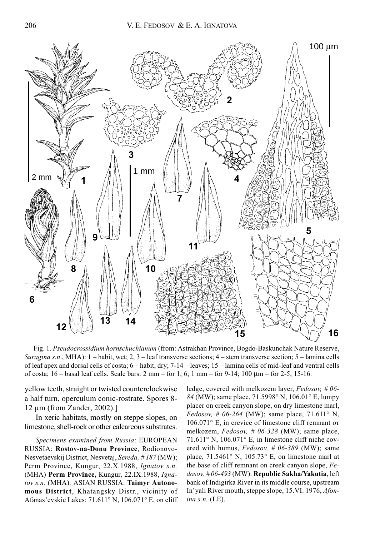

Fig. 1. Pseudocrossidium hornschuchianum (from: Astrakhan Province, Bogdo-Baskunchak Nature Reserve, Suragina s.n., MHA):  $1 -$ habit, wet; 2, 3 – leaf transverse sections;  $4 -$ stem transverse section;  $5 -$ lamina cells of leaf apex and dorsal cells of costa; 6 – habit, dry; 7-14 – leaves; 15 – lamina cells of mid-leaf and ventral cells of costa; 16 – basal leaf cells. Scale bars: 2 mm – for 1, 6; 1 mm – for 9-14; 100 μm – for 2-5, 15-16.

yellow teeth, straight or twisted counterclockwise a half turn, operculum conic-rostrate. Spores 8- 12 μm (from Zander, 2002).]

In xeric habitats, mostly on steppe slopes, on limestone, shell-rock or other calcareous substrates.

Specimens examined from Russia: EUROPEAN RUSSIA: Rostov-na-Donu Province, Rodionovo-Nesvetaevskij District, Nesvetaj, Sereda, # 187 (MW); Perm Province, Kungur, 22.X.1988, Ignatov s.n. (MHA) Perm Province, Kungur, 22.IX.1988, Ignatov s.n. (MHA). ASIAN RUSSIA: Taimyr Autonomous District, Khatangsky Distr., vicinity of Afanas'evskie Lakes: 71.611° N, 106.071° E, on cliff

ledge, covered with melkozem layer, Fedosov, #06-84 (MW); same place, 71.5998° N, 106.01° E, lumpy placer on creek canyon slope, on dry limestone marl, *Fedosov*, # 06-264 (MW); same place, 71.611° N, 106.071° E, in crevice of limestone cliff remnant от melkozem, Fedosov, # 06-328 (MW); same place, 71.611° N, 106.071° E, in limestone cliff niche covered with humus,  $Fedosov, # 06-389$  (MW); same place, 71.5461° N, 105.73° E, on limestone marl at the base of cliff remnant on creek canyon slope, Fe $dosov, #06-493$  (MW). Republic Sakha/Yakutia, left bank of Indigirka River in its middle course, upstream In'yali River mouth, steppe slope, 15.VI. 1976, Afonina s.n. (LE).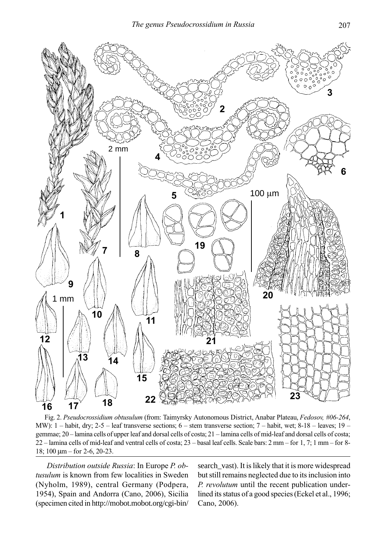

Fig. 2. Pseudocrossidium obtusulum (from: Taimyrsky Autonomous District, Anabar Plateau, Fedosov, #06-264, MW): 1 – habit, dry; 2-5 – leaf transverse sections; 6 – stem transverse section; 7 – habit, wet; 8-18 – leaves; 19 – gemmae; 20 – lamina cells of upper leaf and dorsal cells of costa; 21 – lamina cells of mid-leaf and dorsal cells of costa; 22 – lamina cells of mid-leaf and ventral cells of costa; 23 – basal leaf cells. Scale bars: 2 mm – for 1, 7; 1 mm – for 8- 18; 100 μm – for 2-6, 20-23.

Distribution outside Russia: In Europe P. obtusulum is known from few localities in Sweden (Nyholm, 1989), central Germany (Podpera, 1954), Spain and Andorra (Cano, 2006), Sicilia (specimen cited in http://mobot.mobot.org/cgi-bin/ search\_vast). It is likely that it is more widespread but still remains neglected due to its inclusion into P. revolutum until the recent publication underlined its status of a good species (Eckel et al., 1996; Cano, 2006).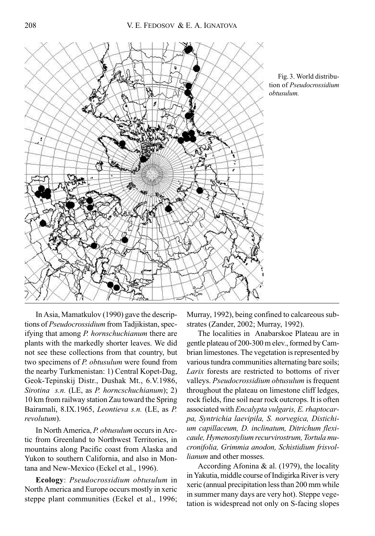



In Asia, Mamatkulov (1990) gave the descriptions of Pseudocrossidium from Tadjikistan, specifying that among P. hornschuchianum there are plants with the markedly shorter leaves. We did not see these collections from that country, but two specimens of P. obtusulum were found from the nearby Turkmenistan: 1) Central Kopet-Dag, Geok-Tepinskij Distr., Dushak Mt., 6.V.1986, Sirotina s.n. (LE, as P. horncschuchianum); 2) 10 km from railway station Zau toward the Spring Bairamali, 8.IX.1965, Leontieva s.n. (LE, as P. revolutum).

In North America, P. obtusulum occurs in Arctic from Greenland to Northwest Territories, in mountains along Pacific coast from Alaska and Yukon to southern California, and also in Montana and New-Mexico (Eckel et al., 1996).

Ecology: Pseudocrossidium obtusulum in North America and Europe occurs mostly in xeric steppe plant communities (Eckel et al., 1996;

Murray, 1992), being confined to calcareous substrates (Zander, 2002; Murray, 1992).

The localities in Anabarskoe Plateau are in gentle plateau of 200-300 m elev., formed by Cambrian limestones. The vegetation is represented by various tundra communities alternating bare soils; Larix forests are restricted to bottoms of river valleys. Pseudocrossidium obtusulum is frequent throughout the plateau on limestone cliff ledges, rock fields, fine soil near rock outcrops. It is often associated with Encalypta vulgaris, E. rhaptocarpa, Syntrichia laevipila, S. norvegica, Distichium capillaceum, D. inclinatum, Ditrichum flexicaule, Hymenostylium recurvirostrum, Tortula mucronifolia, Grimmia anodon, Schistidium frisvollianum and other mosses.

According Afonina & al. (1979), the locality in Yakutia, middle course of Indigirka River is very xeric (annual precipitation less than 200 mm while in summer many days are very hot). Steppe vegetation is widespread not only on S-facing slopes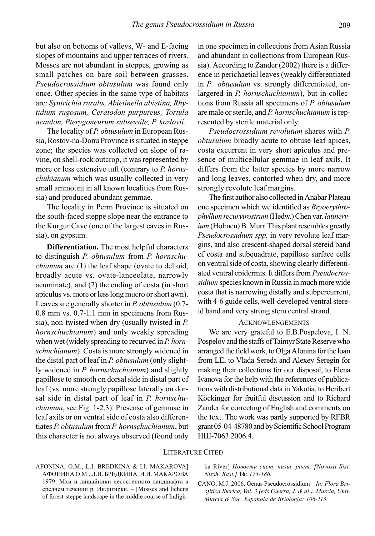but also on bottoms of valleys, W- and E-facing slopes of mountains and upper terraces of rivers. Mosses are not abundant in steppes, growing as small patches on bare soil between grasses. Pseudocrossidium obtusulum was found only once. Other species in the same type of habitats are: Syntrichia ruralis, Abietinella abietina, Rhytidium rugosum, Ceratodon purpureus, Tortula acaulon, Pterygoneurum subsessile, P. kozlovii.

The locality of P. obtusulum in European Russia, Rostov-na-Donu Province is situated in steppe zone; the species was collected on slope of ravine, on shell-rock outcrop, it was represented by more or less extensive tuft (contrary to P. hornschuhianum which was usually collected in very small ammount in all known localities from Russia) and produced abundant gemmae.

The locality in Perm Province is situated on the south-faced steppe slope near the entrance to the Kurgur Cave (one of the largest caves in Russia), on gypsum.

Differentiation. The most helpful characters to distinguish P. obtusulum from P. hornschuchianum are (1) the leaf shape (ovate to deltoid, broadly acute vs. ovate-lanceolate, narrowly acuminate), and (2) the ending of costa (in short apiculus vs. more or less long mucro or short awn). Leaves are generally shorter in P. obtusulum (0.7- 0.8 mm vs. 0.7-1.1 mm in specimens from Russia), non-twisted when dry (usually twisted in P. hornschuchianum) and only weakly spreading when wet (widely spreading to recurved in P. hornschuchianum). Costa is more strongly widened in the distal part of leaf in P. obtusulum (only slightly widened in P. hornschuchianum) and slightly papillose to smooth on dorsal side in distal part of leaf (vs. more strongly papillose laterally on dorsal side in distal part of leaf in P. hornschuchianum, see Fig. 1-2,3). Presense of gemmae in leaf axils or on ventral side of costa also differentiates P. obtusulum from P. hornschuchianum, but this character is not always observed (found only

in one specimen in collections from Asian Russia and abundant in collections from European Russia). According to Zander (2002) there is a difference in perichaetial leaves (weakly differentiated in P. obtusulum vs. strongly differentiated, enlargered in P. hornschuchianum), but in collections from Russia all specimens of P. obtusulum are male or sterile, and P. hornschuchianum is represented by sterile material only.

Pseudocrossidium revolutum shares with P. obtusulum broadly acute to obtuse leaf apices, costa excurrent in very short apiculus and presence of multicellular gemmae in leaf axils. It differs from the latter species by more narrow and long leaves, contorted when dry, and more strongly revolute leaf margins.

The first author also collected in Anabar Plateau one specimen which we identified as Bryoerythrophyllum recurvirostrum (Hedw.) Chen var. latinervium (Holmen) B. Murr. This plant resembles greatly Pseudocrossidium spp. in very revolute leaf margins, and also crescent-shaped dorsal stereid band of costa and subquadrate, papillose surface cells on ventral side of costa, showing clearly differentiated ventral epidermis. It differs from Pseudocrossidium species known in Russia in much more wide costa that is narrowing distally and subpercurrent, with 4-6 guide cells, well-developed ventral stereid band and very strong stem central strand.

## ACKNOWLENGEMENTS

We are very grateful to E.B.Pospelova, I. N. Pospelov and the staffs of Taimyr State Reserve who arranged the field work, to Olga Afonina for the loan from LE, to Vlada Sereda and Alexey Seregin for making their collections for our disposal, to Elena Ivanova for the help with the references of publications with distributional data in Yakutia, to Heribert Köckinger for fruitful discussion and to Richard Zander for correcting of English and comments on the text. The work was partly supported by RFBR grant 05-04-48780 and by Scientific School Program НШ-7063.2006.4.

## LITERATURE CITED

AFONINA, O.M., L.I. BREDKINA & I.I. MAKAROVA] АФОНИНА О.М., Л.И. БРЕДКИНА, И.И. МАКАРОВА 1979. Мхи и лишайники лесостепного ландшафта в среднем течении р. Индигирки. – [Mosses and lichens of forest-steppe landscape in the middle course of Indigirka River] Новости сист. низш. раст. [Novosti Sist. Nizsh. Rast.] 16: 175-186.

CANO, M.J. 2006. Genus Pseudocrossidium – In: Flora Briofitica Iberica, Vol. 3 (eds Guerra, J. & al.). Murcia, Univ. Murcia & Soc. Espanola de Briologia: 106-113.